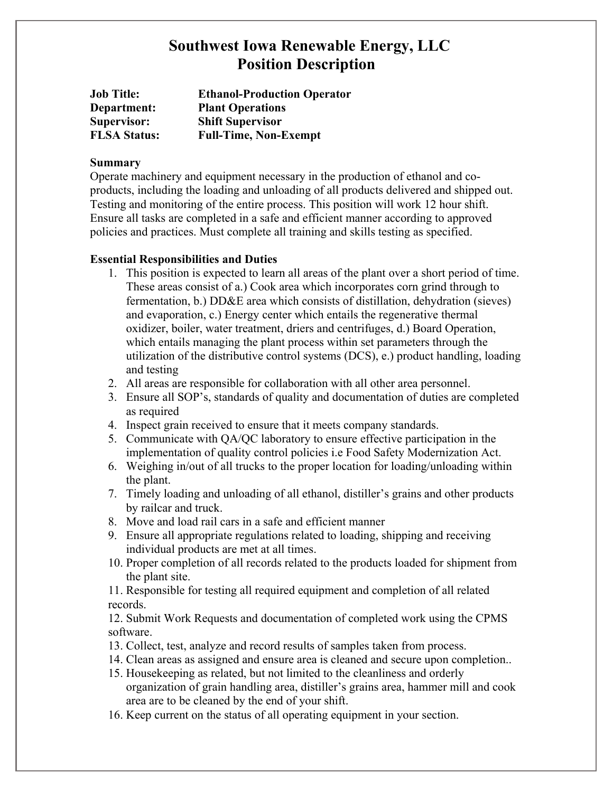## **Southwest Iowa Renewable Energy, LLC Position Description**

| <b>Job Title:</b>   | <b>Ethanol-Production Operator</b> |
|---------------------|------------------------------------|
| Department:         | <b>Plant Operations</b>            |
| <b>Supervisor:</b>  | <b>Shift Supervisor</b>            |
| <b>FLSA Status:</b> | <b>Full-Time, Non-Exempt</b>       |

#### **Summary**

Operate machinery and equipment necessary in the production of ethanol and coproducts, including the loading and unloading of all products delivered and shipped out. Testing and monitoring of the entire process. This position will work 12 hour shift. Ensure all tasks are completed in a safe and efficient manner according to approved policies and practices. Must complete all training and skills testing as specified.

#### **Essential Responsibilities and Duties**

- 1. This position is expected to learn all areas of the plant over a short period of time. These areas consist of a.) Cook area which incorporates corn grind through to fermentation, b.) DD&E area which consists of distillation, dehydration (sieves) and evaporation, c.) Energy center which entails the regenerative thermal oxidizer, boiler, water treatment, driers and centrifuges, d.) Board Operation, which entails managing the plant process within set parameters through the utilization of the distributive control systems (DCS), e.) product handling, loading and testing
- 2. All areas are responsible for collaboration with all other area personnel.
- 3. Ensure all SOP's, standards of quality and documentation of duties are completed as required
- 4. Inspect grain received to ensure that it meets company standards.
- 5. Communicate with QA/QC laboratory to ensure effective participation in the implementation of quality control policies i.e Food Safety Modernization Act.
- 6. Weighing in/out of all trucks to the proper location for loading/unloading within the plant.
- 7. Timely loading and unloading of all ethanol, distiller's grains and other products by railcar and truck.
- 8. Move and load rail cars in a safe and efficient manner
- 9. Ensure all appropriate regulations related to loading, shipping and receiving individual products are met at all times.
- 10. Proper completion of all records related to the products loaded for shipment from the plant site.

11. Responsible for testing all required equipment and completion of all related records.

12. Submit Work Requests and documentation of completed work using the CPMS software.

- 13. Collect, test, analyze and record results of samples taken from process.
- 14. Clean areas as assigned and ensure area is cleaned and secure upon completion..
- 15. Housekeeping as related, but not limited to the cleanliness and orderly organization of grain handling area, distiller's grains area, hammer mill and cook area are to be cleaned by the end of your shift.
- 16. Keep current on the status of all operating equipment in your section.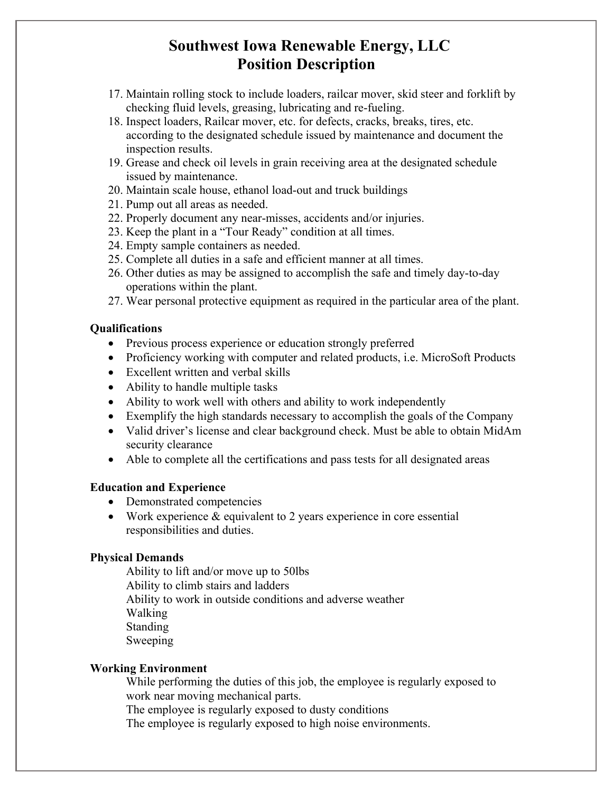## **Southwest Iowa Renewable Energy, LLC Position Description**

- 17. Maintain rolling stock to include loaders, railcar mover, skid steer and forklift by checking fluid levels, greasing, lubricating and re-fueling.
- 18. Inspect loaders, Railcar mover, etc. for defects, cracks, breaks, tires, etc. according to the designated schedule issued by maintenance and document the inspection results.
- 19. Grease and check oil levels in grain receiving area at the designated schedule issued by maintenance.
- 20. Maintain scale house, ethanol load-out and truck buildings
- 21. Pump out all areas as needed.
- 22. Properly document any near-misses, accidents and/or injuries.
- 23. Keep the plant in a "Tour Ready" condition at all times.
- 24. Empty sample containers as needed.
- 25. Complete all duties in a safe and efficient manner at all times.
- 26. Other duties as may be assigned to accomplish the safe and timely day-to-day operations within the plant.
- 27. Wear personal protective equipment as required in the particular area of the plant.

### **Qualifications**

- Previous process experience or education strongly preferred
- Proficiency working with computer and related products, i.e. MicroSoft Products
- Excellent written and verbal skills
- Ability to handle multiple tasks
- Ability to work well with others and ability to work independently
- Exemplify the high standards necessary to accomplish the goals of the Company
- Valid driver's license and clear background check. Must be able to obtain MidAm security clearance
- Able to complete all the certifications and pass tests for all designated areas

#### **Education and Experience**

- Demonstrated competencies
- Work experience & equivalent to 2 years experience in core essential responsibilities and duties.

### **Physical Demands**

Ability to lift and/or move up to 50lbs Ability to climb stairs and ladders Ability to work in outside conditions and adverse weather Walking Standing Sweeping

### **Working Environment**

While performing the duties of this job, the employee is regularly exposed to work near moving mechanical parts.

The employee is regularly exposed to dusty conditions

The employee is regularly exposed to high noise environments.